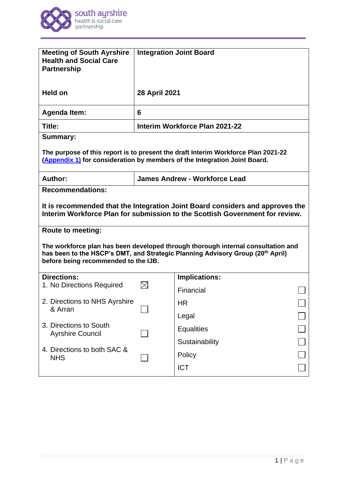

| <b>Meeting of South Ayrshire</b><br><b>Health and Social Care</b><br><b>Partnership</b>                                                                                                                                |                                      | <b>Integration Joint Board</b> |  |
|------------------------------------------------------------------------------------------------------------------------------------------------------------------------------------------------------------------------|--------------------------------------|--------------------------------|--|
| <b>Held on</b>                                                                                                                                                                                                         | 28 April 2021                        |                                |  |
| <b>Agenda Item:</b>                                                                                                                                                                                                    | 6                                    |                                |  |
| Title:                                                                                                                                                                                                                 | Interim Workforce Plan 2021-22       |                                |  |
| <b>Summary:</b>                                                                                                                                                                                                        |                                      |                                |  |
| The purpose of this report is to present the draft Interim Workforce Plan 2021-22<br>(Appendix 1) for consideration by members of the Integration Joint Board.                                                         |                                      |                                |  |
| Author:                                                                                                                                                                                                                | <b>James Andrew - Workforce Lead</b> |                                |  |
| <b>Recommendations:</b>                                                                                                                                                                                                |                                      |                                |  |
| It is recommended that the Integration Joint Board considers and approves the<br>Interim Workforce Plan for submission to the Scottish Government for review.                                                          |                                      |                                |  |
| <b>Route to meeting:</b>                                                                                                                                                                                               |                                      |                                |  |
| The workforce plan has been developed through thorough internal consultation and<br>has been to the HSCP's DMT, and Strategic Planning Advisory Group (20 <sup>th</sup> April)<br>before being recommended to the IJB. |                                      |                                |  |
| <b>Directions:</b><br>1. No Directions Required                                                                                                                                                                        | $\boxtimes$                          | Implications:                  |  |
|                                                                                                                                                                                                                        |                                      | Financial                      |  |
| 2. Directions to NHS Ayrshire<br>& Arran                                                                                                                                                                               | <b>Tarat</b>                         | <b>HR</b>                      |  |
|                                                                                                                                                                                                                        |                                      | Legal                          |  |
| 3. Directions to South<br><b>Ayrshire Council</b>                                                                                                                                                                      |                                      | <b>Equalities</b>              |  |
|                                                                                                                                                                                                                        |                                      | Sustainability                 |  |
| 4. Directions to both SAC &<br><b>NHS</b>                                                                                                                                                                              |                                      | Policy                         |  |
|                                                                                                                                                                                                                        |                                      | <b>ICT</b>                     |  |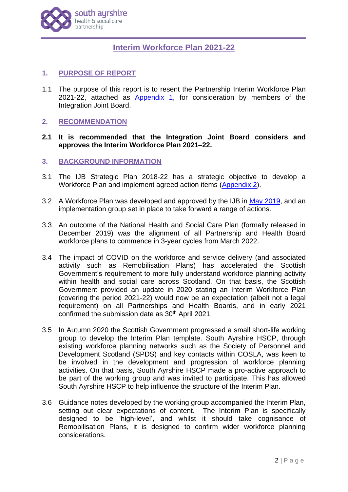

## **Interim Workforce Plan 2021-22**

- **1. PURPOSE OF REPORT**
- 1.1 The purpose of this report is to resent the Partnership Interim Workforce Plan 2021-22, attached as [Appendix 1,](http://www.south-ayrshire.gov.uk/health-social-care-partnership/documents/Item%206%20-%20Interim%20Workforce%20Plan%20App%201%202021%2004%2028.pdf) for consideration by members of the Integration Joint Board.

## **2. RECOMMENDATION**

**2.1 It is recommended that the Integration Joint Board considers and approves the Interim Workforce Plan 2021–22.**

### **3. BACKGROUND INFORMATION**

- 3.1 The IJB Strategic Plan 2018-22 has a strategic objective to develop a Workforce Plan and implement agreed action items [\(Appendix 2\)](http://www.south-ayrshire.gov.uk/health-social-care-partnership/documents/Item%206%20-%20Workforce%20Plan%20App%202%20IJB%202021%2004%2028.pdf).
- 3.2 A Workforce Plan was developed and approved by the IJB in [May 2019,](https://www.south-ayrshire.gov.uk/health-social-care-partnership/documents/item%205%20-%20wfp%20ijb%202019%2005%2016.pdf) and an implementation group set in place to take forward a range of actions.
- 3.3 An outcome of the National Health and Social Care Plan (formally released in December 2019) was the alignment of all Partnership and Health Board workforce plans to commence in 3-year cycles from March 2022.
- 3.4 The impact of COVID on the workforce and service delivery (and associated activity such as Remobilisation Plans) has accelerated the Scottish Government's requirement to more fully understand workforce planning activity within health and social care across Scotland. On that basis, the Scottish Government provided an update in 2020 stating an Interim Workforce Plan (covering the period 2021-22) would now be an expectation (albeit not a legal requirement) on all Partnerships and Health Boards, and in early 2021 confirmed the submission date as 30<sup>th</sup> April 2021.
- 3.5 In Autumn 2020 the Scottish Government progressed a small short-life working group to develop the Interim Plan template. South Ayrshire HSCP, through existing workforce planning networks such as the Society of Personnel and Development Scotland (SPDS) and key contacts within COSLA, was keen to be involved in the development and progression of workforce planning activities. On that basis, South Ayrshire HSCP made a pro-active approach to be part of the working group and was invited to participate. This has allowed South Ayrshire HSCP to help influence the structure of the Interim Plan.
- 3.6 Guidance notes developed by the working group accompanied the Interim Plan, setting out clear expectations of content. The Interim Plan is specifically designed to be 'high-level', and whilst it should take cognisance of Remobilisation Plans, it is designed to confirm wider workforce planning considerations.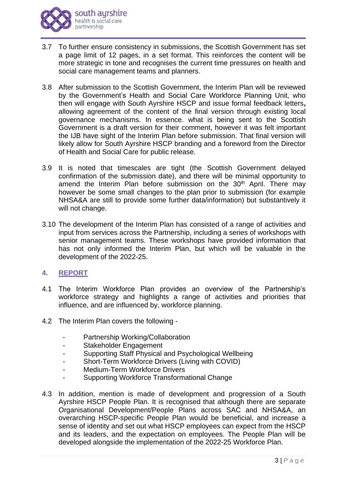

- 3.7 To further ensure consistency in submissions, the Scottish Government has set a page limit of 12 pages, in a set format. This reinforces the content will be more strategic in tone and recognises the current time pressures on health and social care management teams and planners.
- 3.8 After submission to the Scottish Government, the Interim Plan will be reviewed by the Government's Health and Social Care Workforce Planning Unit, who then will engage with South Ayrshire HSCP and issue formal feedback letters**,**  allowing agreement of the content of the final version through existing local governance mechanisms. In essence. what is being sent to the Scottish Government is a draft version for their comment, however it was felt important the IJB have sight of the Interim Plan before submission. That final version will likely allow for South Ayrshire HSCP branding and a foreword from the Director of Health and Social Care for public release.
- 3.9 It is noted that timescales are tight (the Scottish Government delayed confirmation of the submission date), and there will be minimal opportunity to amend the Interim Plan before submission on the  $30<sup>th</sup>$  April. There may however be some small changes to the plan prior to submission (for example NHSA&A are still to provide some further data/information) but substantively it will not change.
- 3.10 The development of the Interim Plan has consisted of a range of activities and input from services across the Partnership, including a series of workshops with senior management teams. These workshops have provided information that has not only informed the Interim Plan, but which will be valuable in the development of the 2022-25.

### **4. REPORT**

- 4.1 The Interim Workforce Plan provides an overview of the Partnership's workforce strategy and highlights a range of activities and priorities that influence, and are influenced by, workforce planning.
- 4.2 The Interim Plan covers the following
	- Partnership Working/Collaboration
	- Stakeholder Engagement
	- Supporting Staff Physical and Psychological Wellbeing
	- Short-Term Workforce Drivers (Living with COVID)
	- Medium-Term Workforce Drivers
	- Supporting Workforce Transformational Change
- 4.3 In addition, mention is made of development and progression of a South Ayrshire HSCP People Plan. It is recognised that although there are separate Organisational Development/People Plans across SAC and NHSA&A, an overarching HSCP-specific People Plan would be beneficial, and increase a sense of identity and set out what HSCP employees can expect from the HSCP and its leaders, and the expectation on employees. The People Plan will be developed alongside the implementation of the 2022-25 Workforce Plan.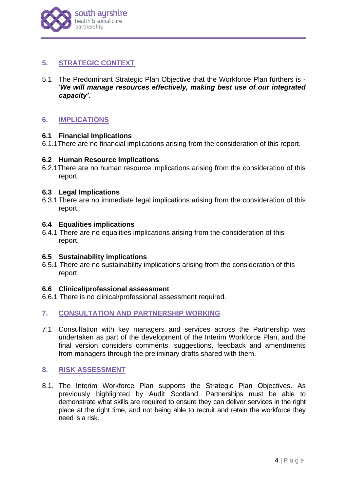

## **5. STRATEGIC CONTEXT**

5.1 The Predominant Strategic Plan Objective that the Workforce Plan furthers is - '*We will manage resources effectively, making best use of our integrated capacity'*.

## **6. IMPLICATIONS**

## **6.1 Financial Implications**

6.1.1There are no financial implications arising from the consideration of this report.

## **6.2 Human Resource Implications**

6.2.1There are no human resource implications arising from the consideration of this report.

## **6.3 Legal Implications**

6.3.1There are no immediate legal implications arising from the consideration of this report.

### **6.4 Equalities implications**

6.4.1 There are no equalities implications arising from the consideration of this report.

### **6.5 Sustainability implications**

6.5.1 There are no sustainability implications arising from the consideration of this report.

### **6.6 Clinical/professional assessment**

6.6.1 There is no clinical/professional assessment required.

### **7. CONSULTATION AND PARTNERSHIP WORKING**

7.1 Consultation with key managers and services across the Partnership was undertaken as part of the development of the Interim Workforce Plan, and the final version considers comments, suggestions, feedback and amendments from managers through the preliminary drafts shared with them.

### **8. RISK ASSESSMENT**

8.1. The Interim Workforce Plan supports the Strategic Plan Objectives. As previously highlighted by Audit Scotland, Partnerships must be able to demonstrate what skills are required to ensure they can deliver services in the right place at the right time, and not being able to recruit and retain the workforce they need is a risk.